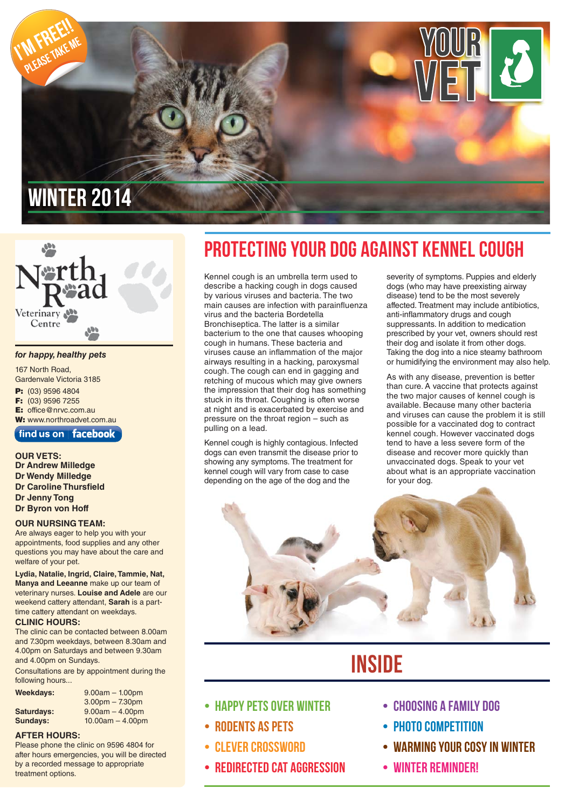

# Veterinary Centre

#### *for happy, healthy pets*

167 North Road, Gardenvale Victoria 3185 **P:** (03) 9596 4804 **F:** (03) 9596 7255 **E:** office@nrvc.com.au **W:** www.northroadvet.com.au

 $\int$  find us on  $\int$  facebook

**OUR VETS:**

**Dr Andrew Milledge Dr Wendy Milledge Dr Caroline Thursfield Dr Jenny Tong Dr Byron von Hoff**

#### **OUR NURSING TEAM:**

Are always eager to help you with your appointments, food supplies and any other questions you may have about the care and welfare of your pet.

**Lydia, Natalie, Ingrid, Claire, Tammie, Nat, Manya and Leeanne** make up our team of veterinary nurses. **Louise and Adele** are our weekend cattery attendant, **Sarah** is a parttime cattery attendant on weekdays.

#### **CLINIC HOURS:**

The clinic can be contacted between 8.00am and 7.30pm weekdays, between 8.30am and 4.00pm on Saturdays and between 9.30am and 4.00pm on Sundays.

Consultations are by appointment during the following hours...

| Weekdays:  | $9.00am - 1.00pm$  |
|------------|--------------------|
|            | $3.00pm - 7.30pm$  |
| Saturdays: | $9.00am - 4.00pm$  |
| Sundays:   | $10.00am - 4.00pm$ |

#### **AFTER HOURS:**

Please phone the clinic on 9596 4804 for after hours emergencies, you will be directed by a recorded message to appropriate treatment options.

### Protecting your dog against kennel cough

Kennel cough is an umbrella term used to describe a hacking cough in dogs caused by various viruses and bacteria. The two main causes are infection with parainfluenza virus and the bacteria Bordetella Bronchiseptica. The latter is a similar bacterium to the one that causes whooping cough in humans. These bacteria and viruses cause an inflammation of the major airways resulting in a hacking, paroxysmal cough. The cough can end in gagging and retching of mucous which may give owners the impression that their dog has something stuck in its throat. Coughing is often worse at night and is exacerbated by exercise and pressure on the throat region – such as pulling on a lead.

Kennel cough is highly contagious. Infected dogs can even transmit the disease prior to showing any symptoms. The treatment for kennel cough will vary from case to case depending on the age of the dog and the

severity of symptoms. Puppies and elderly dogs (who may have preexisting airway disease) tend to be the most severely affected. Treatment may include antibiotics, anti-inflammatory drugs and cough suppressants. In addition to medication prescribed by your vet, owners should rest their dog and isolate it from other dogs. Taking the dog into a nice steamy bathroom or humidifying the environment may also help.

As with any disease, prevention is better than cure. A vaccine that protects against the two major causes of kennel cough is available. Because many other bacteria and viruses can cause the problem it is still possible for a vaccinated dog to contract kennel cough. However vaccinated dogs tend to have a less severe form of the disease and recover more quickly than unvaccinated dogs. Speak to your vet about what is an appropriate vaccination for your dog.



### **INSIDE**

- HAPPY PETS OVER WINTER
- Rodents as Pets
- Clever Crossword
- Redirected Cat Aggression
- Choosing a Family Dog
- PHOTO COMPETITION
- Warming Your cosy in winter
- Winter reminder!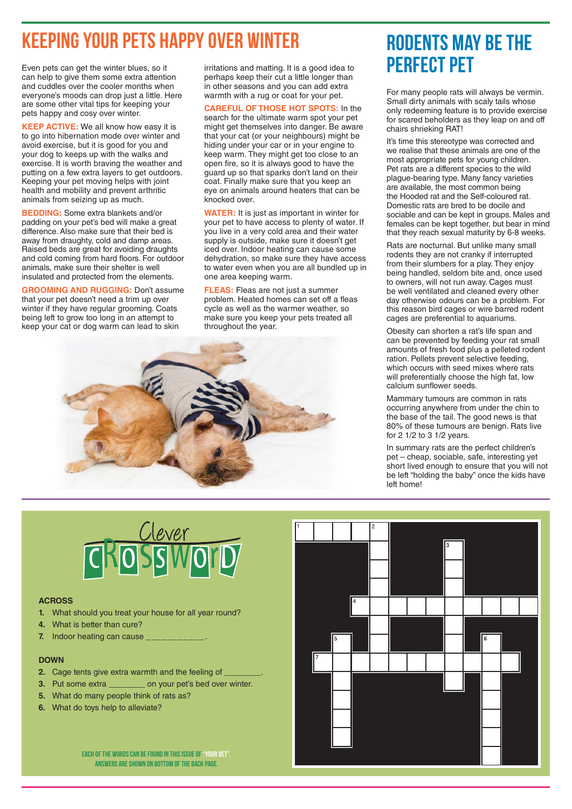### Keeping Your Pets Happy Over Winter

Even pets can get the winter blues, so it can help to give them some extra attention and cuddles over the cooler months when everyone's moods can drop just a little. Here are some other vital tips for keeping your pets happy and cosy over winter.

**KEEP ACTIVE:** We all know how easy it is to go into hibernation mode over winter and avoid exercise, but it is good for you and your dog to keeps up with the walks and exercise. It is worth braving the weather and putting on a few extra layers to get outdoors. Keeping your pet moving helps with joint health and mobility and prevent arthritic animals from seizing up as much.

**BEDDING:** Some extra blankets and/or padding on your pet's bed will make a great difference. Also make sure that their bed is away from draughty, cold and damp areas. Raised beds are great for avoiding draughts and cold coming from hard floors. For outdoor animals, make sure their shelter is well insulated and protected from the elements.

**GROOMING AND RUGGING:** Don't assume that your pet doesn't need a trim up over winter if they have regular grooming. Coats being left to grow too long in an attempt to keep your cat or dog warm can lead to skin

irritations and matting. It is a good idea to perhaps keep their cut a little longer than in other seasons and you can add extra warmth with a rug or coat for your pet.

**CAREFUL OF THOSE HOT SPOTS:** In the search for the ultimate warm spot your pet might get themselves into danger. Be aware that your cat (or your neighbours) might be hiding under your car or in your engine to keep warm. They might get too close to an open fire, so it is always good to have the guard up so that sparks don't land on their coat. Finally make sure that you keep an eye on animals around heaters that can be knocked over.

**WATER:** It is just as important in winter for your pet to have access to plenty of water. If you live in a very cold area and their water supply is outside, make sure it doesn't get iced over. Indoor heating can cause some dehydration, so make sure they have access to water even when you are all bundled up in one area keeping warm.

**FLEAS:** Fleas are not just a summer problem. Heated homes can set off a fleas cycle as well as the warmer weather, so make sure you keep your pets treated all throughout the year.



### Rodents may be the perfect pet

For many people rats will always be vermin. Small dirty animals with scaly tails whose only redeeming feature is to provide exercise for scared beholders as they leap on and off chairs shrieking RAT!

It's time this stereotype was corrected and we realise that these animals are one of the most appropriate pets for young children. Pet rats are a different species to the wild plague-bearing type. Many fancy varieties are available, the most common being the Hooded rat and the Self-coloured rat. Domestic rats are bred to be docile and sociable and can be kept in groups. Males and females can be kept together, but bear in mind that they reach sexual maturity by 6-8 weeks.

Rats are nocturnal. But unlike many small rodents they are not cranky if interrupted from their slumbers for a play. They enjoy being handled, seldom bite and, once used to owners, will not run away. Cages must be well ventilated and cleaned every other day otherwise odours can be a problem. For this reason bird cages or wire barred rodent cages are preferential to aquariums.

Obesity can shorten a rat's life span and can be prevented by feeding your rat small amounts of fresh food plus a pelleted rodent ration. Pellets prevent selective feeding, which occurs with seed mixes where rats will preferentially choose the high fat, low calcium sunflower seeds.

Mammary tumours are common in rats occurring anywhere from under the chin to the base of the tail. The good news is that 80% of these tumours are benign. Rats live for 2 1/2 to 3 1/2 years.

In summary rats are the perfect children's pet – cheap, sociable, safe, interesting yet short lived enough to ensure that you will not be left "holding the baby" once the kids have left home!



#### **ACROSS**

- **1.** What should you treat your house for all year round?
- **4.** What is better than cure?
- **7.** Indoor heating can cause

#### **DOWN**

- **2.** Cage tents give extra warmth and the feeling of
- **3.** Put some extra \_\_\_\_\_\_\_\_ on your pet's bed over winter.
- **5.** What do many people think of rats as?
- **6.** What do toys help to alleviate?

EACH OF THE WORDS CAN BE FOUND IN THIS ISSUE OF "YOUR VET" Answers are shown on bottom of the back page.

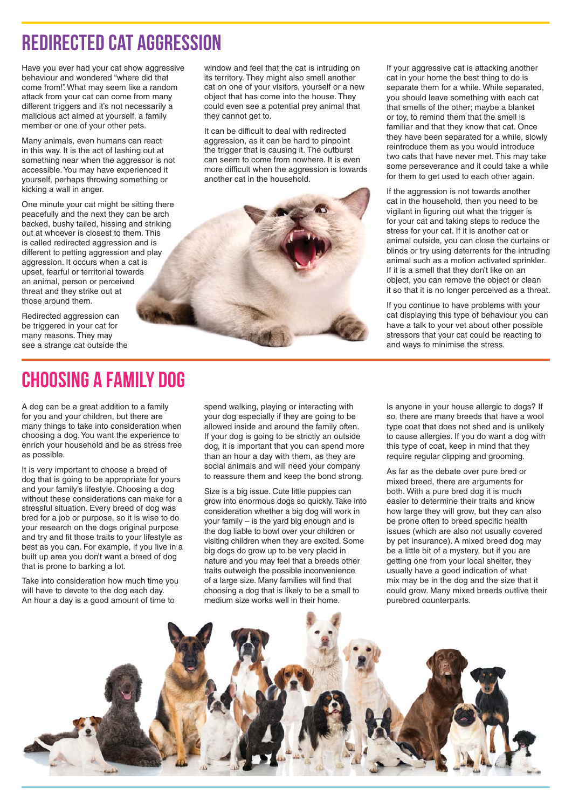### Redirected Cat Aggression

Have you ever had your cat show aggressive behaviour and wondered "where did that come from!". What may seem like a random attack from your cat can come from many different triggers and it's not necessarily a malicious act aimed at yourself, a family member or one of your other pets.

Many animals, even humans can react in this way. It is the act of lashing out at something near when the aggressor is not accessible. You may have experienced it yourself, perhaps throwing something or kicking a wall in anger.

One minute your cat might be sitting there peacefully and the next they can be arch backed, bushy tailed, hissing and striking out at whoever is closest to them. This is called redirected aggression and is different to petting aggression and play aggression. It occurs when a cat is upset, fearful or territorial towards an animal, person or perceived threat and they strike out at those around them.

Redirected aggression can be triggered in your cat for many reasons. They may see a strange cat outside the

Choosing a Family Dog

A dog can be a great addition to a family for you and your children, but there are many things to take into consideration when choosing a dog. You want the experience to enrich your household and be as stress free as possible.

It is very important to choose a breed of dog that is going to be appropriate for yours and your family's lifestyle. Choosing a dog without these considerations can make for a stressful situation. Every breed of dog was bred for a job or purpose, so it is wise to do your research on the dogs original purpose and try and fit those traits to your lifestyle as best as you can. For example, if you live in a built up area you don't want a breed of dog that is prone to barking a lot.

Take into consideration how much time you will have to devote to the dog each day. An hour a day is a good amount of time to

window and feel that the cat is intruding on its territory. They might also smell another cat on one of your visitors, yourself or a new object that has come into the house. They could even see a potential prey animal that they cannot get to.

It can be difficult to deal with redirected aggression, as it can be hard to pinpoint the trigger that is causing it. The outburst can seem to come from nowhere. It is even more difficult when the aggression is towards another cat in the household.



If your aggressive cat is attacking another cat in your home the best thing to do is separate them for a while. While separated, you should leave something with each cat that smells of the other; maybe a blanket or toy, to remind them that the smell is familiar and that they know that cat. Once they have been separated for a while, slowly reintroduce them as you would introduce two cats that have never met. This may take some perseverance and it could take a while for them to get used to each other again.

If the aggression is not towards another cat in the household, then you need to be vigilant in figuring out what the trigger is for your cat and taking steps to reduce the stress for your cat. If it is another cat or animal outside, you can close the curtains or blinds or try using deterrents for the intruding animal such as a motion activated sprinkler. If it is a smell that they don't like on an object, you can remove the object or clean it so that it is no longer perceived as a threat.

If you continue to have problems with your cat displaying this type of behaviour you can have a talk to your vet about other possible stressors that your cat could be reacting to and ways to minimise the stress.

spend walking, playing or interacting with your dog especially if they are going to be allowed inside and around the family often. If your dog is going to be strictly an outside dog, it is important that you can spend more than an hour a day with them, as they are social animals and will need your company to reassure them and keep the bond strong.

Size is a big issue. Cute little puppies can grow into enormous dogs so quickly. Take into consideration whether a big dog will work in your family – is the yard big enough and is the dog liable to bowl over your children or visiting children when they are excited. Some big dogs do grow up to be very placid in nature and you may feel that a breeds other traits outweigh the possible inconvenience of a large size. Many families will find that choosing a dog that is likely to be a small to medium size works well in their home.

Is anyone in your house allergic to dogs? If so, there are many breeds that have a wool type coat that does not shed and is unlikely to cause allergies. If you do want a dog with this type of coat, keep in mind that they require regular clipping and grooming.

As far as the debate over pure bred or mixed breed, there are arguments for both. With a pure bred dog it is much easier to determine their traits and know how large they will grow, but they can also be prone often to breed specific health issues (which are also not usually covered by pet insurance). A mixed breed dog may be a little bit of a mystery, but if you are getting one from your local shelter, they usually have a good indication of what mix may be in the dog and the size that it could grow. Many mixed breeds outlive their purebred counterparts.